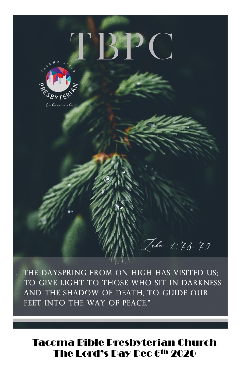

... THE DAYSPRING FROM ON HIGH HAS VISITED US: TO GIVE LIGHT TO THOSE WHO SIT IN DARKNESS AND THE SHADOW OF DEATH, TO GUIDE OUR FEET INTO THE WAY OF PEACE."

## **Tacoma Bible Presbyterian Church** The Lord's Day Dec 6th 2020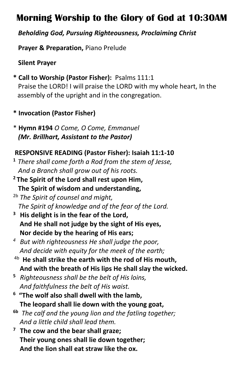## **Morning Worship to the Glory of God at 10:30AM**

### *Beholding God, Pursuing Righteousness, Proclaiming Christ*

 **Prayer & Preparation,** Piano Prelude

**Silent Prayer**

- **\* Call to Worship (Pastor Fisher):** Psalms 111:1 Praise the LORD! I will praise the LORD with my whole heart, In the assembly of the upright and in the congregation.
- **\* Invocation (Pastor Fisher)**
- \* **Hymn #194** *O Come, O Come, Emmanuel (Mr. Brillhart, Assistant to the Pastor)*

## **RESPONSIVE READING (Pastor Fisher): Isaiah 11:1-10**

- **<sup>1</sup>***There shall come forth a Rod from the stem of Jesse, And a Branch shall grow out of his roots.*
- **<sup>2</sup> The Spirit of the Lord shall rest upon Him, The Spirit of wisdom and understanding,**
- 2b *The Spirit of counsel and might, The Spirit of knowledge and of the fear of the Lord.*
- **<sup>3</sup>His delight is in the fear of the Lord, And He shall not judge by the sight of His eyes, Nor decide by the hearing of His ears;**
- *<sup>4</sup>But with righteousness He shall judge the poor, And decide with equity for the meek of the earth;*
- 4b  **He shall strike the earth with the rod of His mouth, And with the breath of His lips He shall slay the wicked.**
- **<sup>5</sup>***Righteousness shall be the belt of His loins, And faithfulness the belt of His waist.*
- **<sup>6</sup>"The wolf also shall dwell with the lamb, The leopard shall lie down with the young goat,**
- **6b** *The calf and the young lion and the fatling together; And a little child shall lead them.*
- **<sup>7</sup>The cow and the bear shall graze; Their young ones shall lie down together; And the lion shall eat straw like the ox.**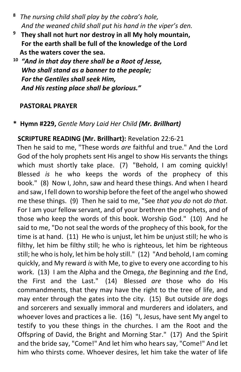- **<sup>8</sup>***The nursing child shall play by the cobra's hole, And the weaned child shall put his hand in the viper's den.*
- **<sup>9</sup>They shall not hurt nor destroy in all My holy mountain, For the earth shall be full of the knowledge of the Lord As the waters cover the sea.**
- **<sup>10</sup>***"And in that day there shall be a Root of Jesse, Who shall stand as a banner to the people; For the Gentiles shall seek Him, And His resting place shall be glorious."*

#### **PASTORAL PRAYER**

### **\* Hymn #229,** *Gentle Mary Laid Her Child (Mr. Brillhart)*

### **SCRIPTURE READING (Mr. Brillhart):** Revelation 22:6-21

Then he said to me, "These words *are* faithful and true." And the Lord God of the holy prophets sent His angel to show His servants the things which must shortly take place. (7) "Behold, I am coming quickly! Blessed *is* he who keeps the words of the prophecy of this book." (8) Now I, John, saw and heard these things. And when I heard and saw, I fell down to worship before the feet of the angel who showed me these things. (9) Then he said to me, "See *that you do* not *do that.* For I am your fellow servant, and of your brethren the prophets, and of those who keep the words of this book. Worship God." (10) And he said to me, "Do not seal the words of the prophecy of this book, for the time is at hand. (11) He who is unjust, let him be unjust still; he who is filthy, let him be filthy still; he who is righteous, let him be righteous still; he who is holy, let him be holy still." (12) "And behold, I am coming quickly, and My reward *is* with Me, to give to every one according to his work. (13) I am the Alpha and the Omega, *the* Beginning and *the* End, the First and the Last." (14) Blessed *are* those who do His commandments, that they may have the right to the tree of life, and may enter through the gates into the city. (15) But outside *are* dogs and sorcerers and sexually immoral and murderers and idolaters, and whoever loves and practices a lie. (16) "I, Jesus, have sent My angel to testify to you these things in the churches. I am the Root and the Offspring of David, the Bright and Morning Star." (17) And the Spirit and the bride say, "Come!" And let him who hears say, "Come!" And let him who thirsts come. Whoever desires, let him take the water of life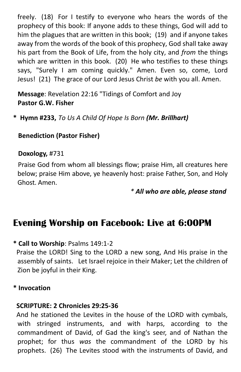freely. (18) For I testify to everyone who hears the words of the prophecy of this book: If anyone adds to these things, God will add to him the plagues that are written in this book; (19) and if anyone takes away from the words of the book of this prophecy, God shall take away his part from the Book of Life, from the holy city, and *from* the things which are written in this book. (20) He who testifies to these things says, "Surely I am coming quickly." Amen. Even so, come, Lord Jesus! (21) The grace of our Lord Jesus Christ *be* with you all. Amen.

 **Message**: Revelation 22:16 "Tidings of Comfort and Joy **Pastor G.W. Fisher**

**\* Hymn #233,** *To Us A Child Of Hope Is Born (Mr. Brillhart)*

### **Benediction (Pastor Fisher)**

#### **Doxology,** #731

 Praise God from whom all blessings flow; praise Him, all creatures here below; praise Him above, ye heavenly host: praise Father, Son, and Holy Ghost. Amen.

*\* All who are able, please stand*

## **Evening Worship on Facebook: Live at 6:00PM**

#### **\* Call to Worship**: Psalms 149:1-2

 Praise the LORD! Sing to the LORD a new song, And His praise in the assembly of saints. Let Israel rejoice in their Maker; Let the children of Zion be joyful in their King.

#### **\* Invocation**

#### **SCRIPTURE: 2 Chronicles 29:25-36**

And he stationed the Levites in the house of the LORD with cymbals, with stringed instruments, and with harps, according to the commandment of David, of Gad the king's seer, and of Nathan the prophet; for thus *was* the commandment of the LORD by his prophets. (26) The Levites stood with the instruments of David, and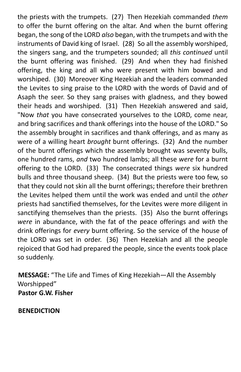the priests with the trumpets. (27) Then Hezekiah commanded *them* to offer the burnt offering on the altar. And when the burnt offering began, the song of the LORD *also* began, with the trumpets and with the instruments of David king of Israel. (28) So all the assembly worshiped, the singers sang, and the trumpeters sounded; all *this continued* until the burnt offering was finished. (29) And when they had finished offering, the king and all who were present with him bowed and worshiped. (30) Moreover King Hezekiah and the leaders commanded the Levites to sing praise to the LORD with the words of David and of Asaph the seer. So they sang praises with gladness, and they bowed their heads and worshiped. (31) Then Hezekiah answered and said, "Now *that* you have consecrated yourselves to the LORD, come near, and bring sacrifices and thank offerings into the house of the LORD." So the assembly brought in sacrifices and thank offerings, and as many as were of a willing heart *brought* burnt offerings. (32) And the number of the burnt offerings which the assembly brought was seventy bulls, one hundred rams, *and* two hundred lambs; all these *were* for a burnt offering to the LORD. (33) The consecrated things *were* six hundred bulls and three thousand sheep. (34) But the priests were too few, so that they could not skin all the burnt offerings; therefore their brethren the Levites helped them until the work was ended and until the *other* priests had sanctified themselves, for the Levites were more diligent in sanctifying themselves than the priests. (35) Also the burnt offerings *were* in abundance, with the fat of the peace offerings and *with* the drink offerings for *every* burnt offering. So the service of the house of the LORD was set in order. (36) Then Hezekiah and all the people rejoiced that God had prepared the people, since the events took place so suddenly.

 **MESSAGE:** "The Life and Times of King Hezekiah—All the Assembly Worshipped"  **Pastor G.W. Fisher**

 **BENEDICTION**